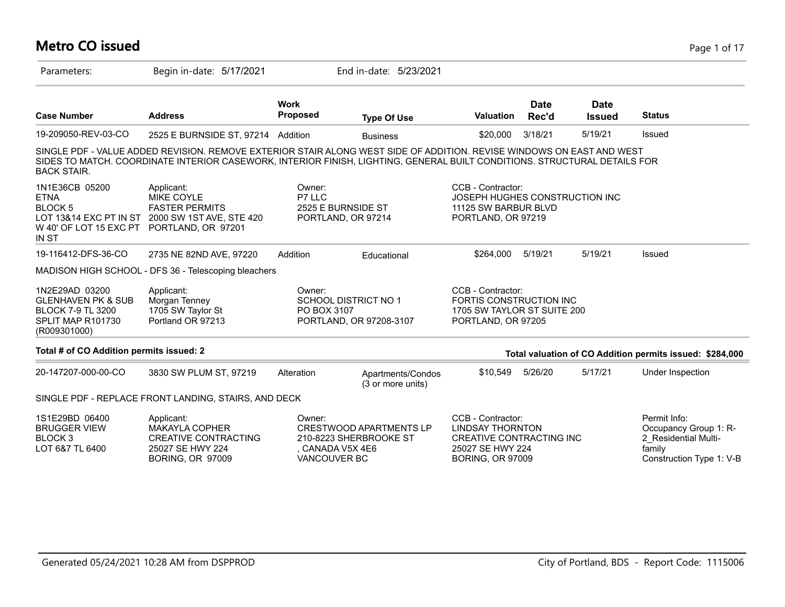# **Metro CO issued** Page 1 of 17

| Parameters:                                                                                                      | Begin in-date: 5/17/2021                                                                                                                                                                                                                           |                                                              | End in-date: 5/23/2021                                   |                                                                                                                                |                      |                              |                                                                                                     |
|------------------------------------------------------------------------------------------------------------------|----------------------------------------------------------------------------------------------------------------------------------------------------------------------------------------------------------------------------------------------------|--------------------------------------------------------------|----------------------------------------------------------|--------------------------------------------------------------------------------------------------------------------------------|----------------------|------------------------------|-----------------------------------------------------------------------------------------------------|
| <b>Case Number</b>                                                                                               | <b>Address</b>                                                                                                                                                                                                                                     | <b>Work</b><br>Proposed                                      | <b>Type Of Use</b>                                       | <b>Valuation</b>                                                                                                               | <b>Date</b><br>Rec'd | <b>Date</b><br><b>Issued</b> | <b>Status</b>                                                                                       |
| 19-209050-REV-03-CO                                                                                              | 2525 E BURNSIDE ST, 97214 Addition                                                                                                                                                                                                                 |                                                              | <b>Business</b>                                          | \$20,000                                                                                                                       | 3/18/21              | 5/19/21                      | Issued                                                                                              |
| <b>BACK STAIR.</b>                                                                                               | SINGLE PDF - VALUE ADDED REVISION. REMOVE EXTERIOR STAIR ALONG WEST SIDE OF ADDITION. REVISE WINDOWS ON EAST AND WEST<br>SIDES TO MATCH. COORDINATE INTERIOR CASEWORK, INTERIOR FINISH, LIGHTING, GENERAL BUILT CONDITIONS. STRUCTURAL DETAILS FOR |                                                              |                                                          |                                                                                                                                |                      |                              |                                                                                                     |
| 1N1E36CB 05200<br><b>ETNA</b><br><b>BLOCK 5</b><br>W 40' OF LOT 15 EXC PT PORTLAND, OR 97201<br>IN ST            | Applicant:<br><b>MIKE COYLE</b><br><b>FASTER PERMITS</b><br>LOT 13&14 EXC PT IN ST 2000 SW 1ST AVE, STE 420                                                                                                                                        | Owner:<br>P7 LLC<br>2525 E BURNSIDE ST<br>PORTLAND, OR 97214 |                                                          | CCB - Contractor:<br>JOSEPH HUGHES CONSTRUCTION INC<br>11125 SW BARBUR BLVD<br>PORTLAND, OR 97219                              |                      |                              |                                                                                                     |
| 19-116412-DFS-36-CO                                                                                              | 2735 NE 82ND AVE, 97220                                                                                                                                                                                                                            | Addition                                                     | Educational                                              | \$264.000                                                                                                                      | 5/19/21              | 5/19/21                      | Issued                                                                                              |
|                                                                                                                  | MADISON HIGH SCHOOL - DFS 36 - Telescoping bleachers                                                                                                                                                                                               |                                                              |                                                          |                                                                                                                                |                      |                              |                                                                                                     |
| 1N2E29AD 03200<br><b>GLENHAVEN PK &amp; SUB</b><br><b>BLOCK 7-9 TL 3200</b><br>SPLIT MAP R101730<br>(R009301000) | Applicant:<br>Morgan Tenney<br>1705 SW Taylor St<br>Portland OR 97213                                                                                                                                                                              | Owner:<br><b>SCHOOL DISTRICT NO 1</b><br>PO BOX 3107         | PORTLAND, OR 97208-3107                                  | CCB - Contractor:<br>FORTIS CONSTRUCTION INC<br>1705 SW TAYLOR ST SUITE 200<br>PORTLAND, OR 97205                              |                      |                              |                                                                                                     |
| Total # of CO Addition permits issued: 2                                                                         |                                                                                                                                                                                                                                                    |                                                              |                                                          |                                                                                                                                |                      |                              | Total valuation of CO Addition permits issued: \$284,000                                            |
| 20-147207-000-00-CO                                                                                              | 3830 SW PLUM ST, 97219                                                                                                                                                                                                                             | Alteration                                                   | Apartments/Condos<br>(3 or more units)                   | \$10,549                                                                                                                       | 5/26/20              | 5/17/21                      | Under Inspection                                                                                    |
|                                                                                                                  | SINGLE PDF - REPLACE FRONT LANDING, STAIRS, AND DECK                                                                                                                                                                                               |                                                              |                                                          |                                                                                                                                |                      |                              |                                                                                                     |
| 1S1E29BD 06400<br><b>BRUGGER VIEW</b><br>BLOCK <sub>3</sub><br>LOT 6&7 TL 6400                                   | Applicant:<br>MAKAYLA COPHER<br><b>CREATIVE CONTRACTING</b><br>25027 SE HWY 224<br><b>BORING, OR 97009</b>                                                                                                                                         | Owner:<br>. CANADA V5X 4E6<br>VANCOUVER BC                   | <b>CRESTWOOD APARTMENTS LP</b><br>210-8223 SHERBROOKE ST | CCB - Contractor:<br><b>LINDSAY THORNTON</b><br><b>CREATIVE CONTRACTING INC</b><br>25027 SE HWY 224<br><b>BORING, OR 97009</b> |                      |                              | Permit Info:<br>Occupancy Group 1: R-<br>2 Residential Multi-<br>family<br>Construction Type 1: V-B |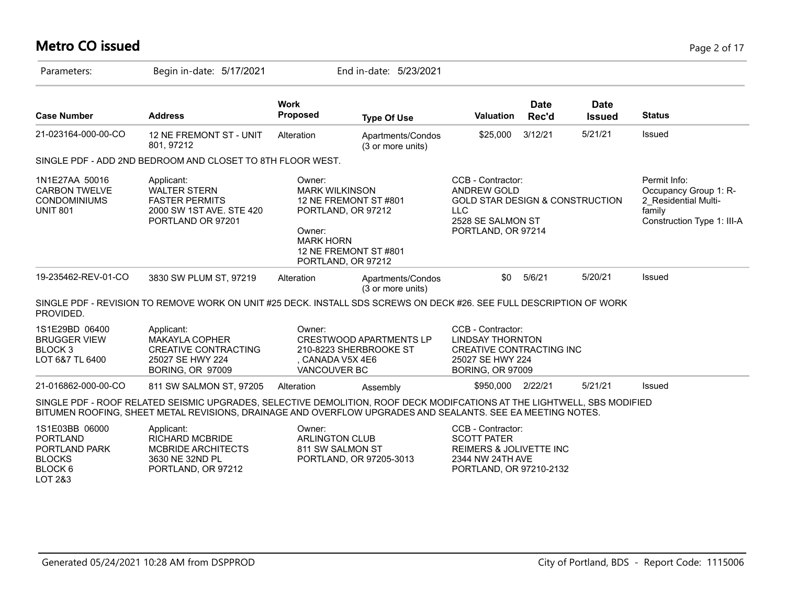# **Metro CO issued** Page 2 of 17

| Parameters:                                                                               | Begin in-date: 5/17/2021                                                                                                                                                                                                              |                                                                                                           | End in-date: 5/23/2021                                   |                                                                                                                                     |                      |                              |                                                                                                       |
|-------------------------------------------------------------------------------------------|---------------------------------------------------------------------------------------------------------------------------------------------------------------------------------------------------------------------------------------|-----------------------------------------------------------------------------------------------------------|----------------------------------------------------------|-------------------------------------------------------------------------------------------------------------------------------------|----------------------|------------------------------|-------------------------------------------------------------------------------------------------------|
| <b>Case Number</b>                                                                        | <b>Address</b>                                                                                                                                                                                                                        | <b>Work</b><br>Proposed                                                                                   | <b>Type Of Use</b>                                       | <b>Valuation</b>                                                                                                                    | <b>Date</b><br>Rec'd | <b>Date</b><br><b>Issued</b> | <b>Status</b>                                                                                         |
| 21-023164-000-00-CO                                                                       | 12 NE FREMONT ST - UNIT<br>801, 97212                                                                                                                                                                                                 | Alteration                                                                                                | Apartments/Condos<br>(3 or more units)                   | \$25,000                                                                                                                            | 3/12/21              | 5/21/21                      | Issued                                                                                                |
|                                                                                           | SINGLE PDF - ADD 2ND BEDROOM AND CLOSET TO 8TH FLOOR WEST.                                                                                                                                                                            |                                                                                                           |                                                          |                                                                                                                                     |                      |                              |                                                                                                       |
| 1N1E27AA 50016<br><b>CARBON TWELVE</b><br><b>CONDOMINIUMS</b><br><b>UNIT 801</b>          | Applicant:<br><b>WALTER STERN</b><br><b>FASTER PERMITS</b><br>2000 SW 1ST AVE. STE 420<br>PORTLAND OR 97201                                                                                                                           | Owner:<br><b>MARK WILKINSON</b><br>PORTLAND, OR 97212<br>Owner:<br><b>MARK HORN</b><br>PORTLAND, OR 97212 | 12 NE FREMONT ST #801<br>12 NE FREMONT ST #801           | CCB - Contractor:<br><b>ANDREW GOLD</b><br>GOLD STAR DESIGN & CONSTRUCTION<br><b>LLC</b><br>2528 SE SALMON ST<br>PORTLAND, OR 97214 |                      |                              | Permit Info:<br>Occupancy Group 1: R-<br>2 Residential Multi-<br>family<br>Construction Type 1: III-A |
| 19-235462-REV-01-CO                                                                       | 3830 SW PLUM ST, 97219                                                                                                                                                                                                                | Alteration                                                                                                | Apartments/Condos<br>(3 or more units)                   | \$0                                                                                                                                 | 5/6/21               | 5/20/21                      | Issued                                                                                                |
| PROVIDED.                                                                                 | SINGLE PDF - REVISION TO REMOVE WORK ON UNIT #25 DECK. INSTALL SDS SCREWS ON DECK #26. SEE FULL DESCRIPTION OF WORK                                                                                                                   |                                                                                                           |                                                          |                                                                                                                                     |                      |                              |                                                                                                       |
| 1S1E29BD 06400<br><b>BRUGGER VIEW</b><br>BLOCK <sub>3</sub><br>LOT 6&7 TL 6400            | Applicant:<br>MAKAYLA COPHER<br><b>CREATIVE CONTRACTING</b><br>25027 SE HWY 224<br><b>BORING, OR 97009</b>                                                                                                                            | Owner:<br>, CANADA V5X 4E6<br>VANCOUVER BC                                                                | <b>CRESTWOOD APARTMENTS LP</b><br>210-8223 SHERBROOKE ST | CCB - Contractor:<br><b>LINDSAY THORNTON</b><br>CREATIVE CONTRACTING INC<br>25027 SE HWY 224<br><b>BORING, OR 97009</b>             |                      |                              |                                                                                                       |
| 21-016862-000-00-CO                                                                       | 811 SW SALMON ST, 97205                                                                                                                                                                                                               | Alteration                                                                                                | Assembly                                                 | \$950,000 2/22/21                                                                                                                   |                      | 5/21/21                      | Issued                                                                                                |
|                                                                                           | SINGLE PDF - ROOF RELATED SEISMIC UPGRADES, SELECTIVE DEMOLITION, ROOF DECK MODIFCATIONS AT THE LIGHTWELL, SBS MODIFIED<br>BITUMEN ROOFING, SHEET METAL REVISIONS, DRAINAGE AND OVERFLOW UPGRADES AND SEALANTS. SEE EA MEETING NOTES. |                                                                                                           |                                                          |                                                                                                                                     |                      |                              |                                                                                                       |
| 1S1E03BB 06000<br><b>PORTLAND</b><br>PORTLAND PARK<br><b>BLOCKS</b><br>BLOCK 6<br>LOT 2&3 | Applicant:<br><b>RICHARD MCBRIDE</b><br>MCBRIDE ARCHITECTS<br>3630 NE 32ND PL<br>PORTLAND, OR 97212                                                                                                                                   | Owner:<br><b>ARLINGTON CLUB</b><br>811 SW SALMON ST                                                       | PORTLAND, OR 97205-3013                                  | CCB - Contractor:<br><b>SCOTT PATER</b><br>REIMERS & JOLIVETTE INC<br>2344 NW 24TH AVE<br>PORTLAND, OR 97210-2132                   |                      |                              |                                                                                                       |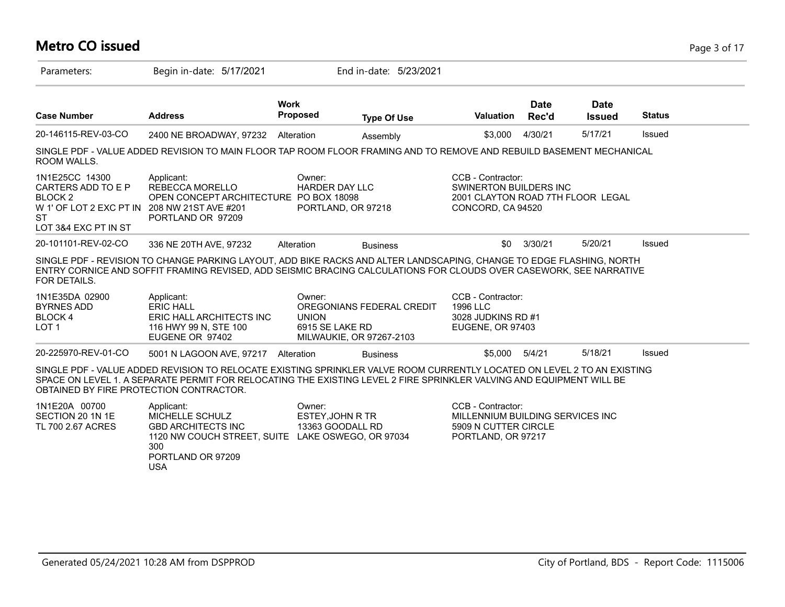#### **Metro CO issued** Page 3 of 17 Parameters: Begin in-date: 5/17/2021 End in-date: 5/23/2021 **Work Case Number Address Proposed Type Of Use Valuation Status Date Rec'd Date Issued** 20-146115-REV-03-CO 2400 NE BROADWAY, 97232 Alteration Assembly \$3,000 4/30/21 5/17/21 Issued SINGLE PDF - VALUE ADDED REVISION TO MAIN FLOOR TAP ROOM FLOOR FRAMING AND TO REMOVE AND REBUILD BASEMENT MECHANICAL ROOM WALLS. 1N1E25CC 14300 CARTERS ADD TO E P BLOCK 2 W 1' OF LOT 2 EXC PT IN 208 NW 21ST AVE #201 **ST** LOT 3&4 EXC PT IN ST CCB - Contractor: SWINERTON BUILDERS INC 2001 CLAYTON ROAD 7TH FLOOR LEGAL CONCORD, CA 94520 Owner: HARDER DAY LLC OPEN CONCEPT ARCHITECTURE PO BOX 18098 PORTLAND, OR 97218 Applicant: REBECCA MORELLO PORTLAND OR 97209 20-101101-REV-02-CO 336 NE 20TH AVE, 97232 Alteration Business \$0 3/30/21 5/20/21 Issued SINGLE PDF - REVISION TO CHANGE PARKING LAYOUT, ADD BIKE RACKS AND ALTER LANDSCAPING, CHANGE TO EDGE FLASHING, NORTH ENTRY CORNICE AND SOFFIT FRAMING REVISED, ADD SEISMIC BRACING CALCULATIONS FOR CLOUDS OVER CASEWORK, SEE NARRATIVE FOR DETAILS. 1N1E35DA 02900 BYRNES ADD BLOCK 4 LOT 1 CCB - Contractor: 1996 LLC 3028 JUDKINS RD #1 EUGENE, OR 97403 Owner: OREGONIANS FEDERAL CREDIT UNION 6915 SE LAKE RD MILWAUKIE, OR 97267-2103 Applicant: ERIC HALL ERIC HALL ARCHITECTS INC 116 HWY 99 N, STE 100 EUGENE OR 97402 20-225970-REV-01-CO 5001 N LAGOON AVE, 97217 Alteration Business \$5,000 5/4/21 5/18/21 Issued SINGLE PDF - VALUE ADDED REVISION TO RELOCATE EXISTING SPRINKLER VALVE ROOM CURRENTLY LOCATED ON LEVEL 2 TO AN EXISTING SPACE ON LEVEL 1. A SEPARATE PERMIT FOR RELOCATING THE EXISTING LEVEL 2 FIRE SPRINKLER VALVING AND EQUIPMENT WILL BE OBTAINED BY FIRE PROTECTION CONTRACTOR. 1N1E20A 00700 SECTION 20 1N 1E TL 700 2.67 ACRES CCB - Contractor: MILLENNIUM BUILDING SERVICES INC 5909 N CUTTER CIRCLE PORTLAND, OR 97217 Owner: ESTEY,JOHN R TR 13363 GOODALL RD 1120 NW COUCH STREET, SUITE LAKE OSWEGO, OR 97034 Applicant: MICHELLE SCHULZ GBD ARCHITECTS INC 300 PORTLAND OR 97209 USA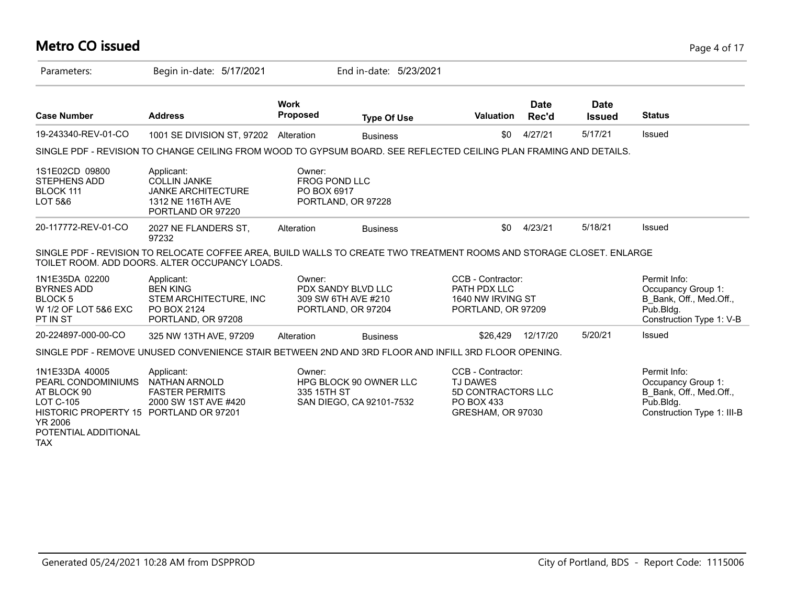#### **Metro CO issued** Page 4 of 17

| Parameters:                                                                                                                                                               | Begin in-date: 5/17/2021                                                                                                                                               |                                                                           | End in-date: 5/23/2021                             |                                                                                                      |                      |                              |                                                                                                          |
|---------------------------------------------------------------------------------------------------------------------------------------------------------------------------|------------------------------------------------------------------------------------------------------------------------------------------------------------------------|---------------------------------------------------------------------------|----------------------------------------------------|------------------------------------------------------------------------------------------------------|----------------------|------------------------------|----------------------------------------------------------------------------------------------------------|
| <b>Case Number</b>                                                                                                                                                        | <b>Address</b>                                                                                                                                                         | <b>Work</b><br><b>Proposed</b>                                            | <b>Type Of Use</b>                                 | <b>Valuation</b>                                                                                     | <b>Date</b><br>Rec'd | <b>Date</b><br><b>Issued</b> | <b>Status</b>                                                                                            |
| 19-243340-REV-01-CO                                                                                                                                                       | 1001 SE DIVISION ST, 97202 Alteration                                                                                                                                  |                                                                           | <b>Business</b>                                    | \$0                                                                                                  | 4/27/21              | 5/17/21                      | Issued                                                                                                   |
|                                                                                                                                                                           | SINGLE PDF - REVISION TO CHANGE CEILING FROM WOOD TO GYPSUM BOARD. SEE REFLECTED CEILING PLAN FRAMING AND DETAILS.                                                     |                                                                           |                                                    |                                                                                                      |                      |                              |                                                                                                          |
| 1S1E02CD 09800<br><b>STEPHENS ADD</b><br>BLOCK 111<br>LOT 5&6                                                                                                             | Applicant:<br><b>COLLIN JANKE</b><br><b>JANKE ARCHITECTURE</b><br>1312 NE 116TH AVE<br>PORTLAND OR 97220                                                               | Owner:<br><b>FROG POND LLC</b><br>PO BOX 6917<br>PORTLAND, OR 97228       |                                                    |                                                                                                      |                      |                              |                                                                                                          |
| 20-117772-REV-01-CO                                                                                                                                                       | 2027 NE FLANDERS ST,<br>97232                                                                                                                                          | Alteration                                                                | <b>Business</b>                                    | \$0                                                                                                  | 4/23/21              | 5/18/21                      | Issued                                                                                                   |
|                                                                                                                                                                           | SINGLE PDF - REVISION TO RELOCATE COFFEE AREA, BUILD WALLS TO CREATE TWO TREATMENT ROOMS AND STORAGE CLOSET. ENLARGE<br>TOILET ROOM. ADD DOORS. ALTER OCCUPANCY LOADS. |                                                                           |                                                    |                                                                                                      |                      |                              |                                                                                                          |
| 1N1E35DA 02200<br><b>BYRNES ADD</b><br>BLOCK <sub>5</sub><br>W 1/2 OF LOT 5&6 EXC<br>PT IN ST                                                                             | Applicant:<br><b>BEN KING</b><br>STEM ARCHITECTURE, INC<br>PO BOX 2124<br>PORTLAND, OR 97208                                                                           | Owner:<br>PDX SANDY BLVD LLC<br>309 SW 6TH AVE #210<br>PORTLAND, OR 97204 |                                                    | CCB - Contractor:<br>PATH PDX LLC<br>1640 NW IRVING ST<br>PORTLAND, OR 97209                         |                      |                              | Permit Info:<br>Occupancy Group 1:<br>B Bank, Off., Med.Off.,<br>Pub.Bldg.<br>Construction Type 1: V-B   |
| 20-224897-000-00-CO                                                                                                                                                       | 325 NW 13TH AVE, 97209                                                                                                                                                 | Alteration                                                                | <b>Business</b>                                    | \$26,429                                                                                             | 12/17/20             | 5/20/21                      | Issued                                                                                                   |
|                                                                                                                                                                           | SINGLE PDF - REMOVE UNUSED CONVENIENCE STAIR BETWEEN 2ND AND 3RD FLOOR AND INFILL 3RD FLOOR OPENING.                                                                   |                                                                           |                                                    |                                                                                                      |                      |                              |                                                                                                          |
| 1N1E33DA 40005<br>PEARL CONDOMINIUMS<br>AT BLOCK 90<br><b>LOT C-105</b><br>HISTORIC PROPERTY 15 PORTLAND OR 97201<br><b>YR 2006</b><br>POTENTIAL ADDITIONAL<br><b>TAX</b> | Applicant:<br><b>NATHAN ARNOLD</b><br><b>FASTER PERMITS</b><br>2000 SW 1ST AVE #420                                                                                    | Owner:<br>335 15TH ST                                                     | HPG BLOCK 90 OWNER LLC<br>SAN DIEGO, CA 92101-7532 | CCB - Contractor:<br><b>TJ DAWES</b><br><b>5D CONTRACTORS LLC</b><br>PO BOX 433<br>GRESHAM, OR 97030 |                      |                              | Permit Info:<br>Occupancy Group 1:<br>B Bank, Off., Med.Off.,<br>Pub.Bldg.<br>Construction Type 1: III-B |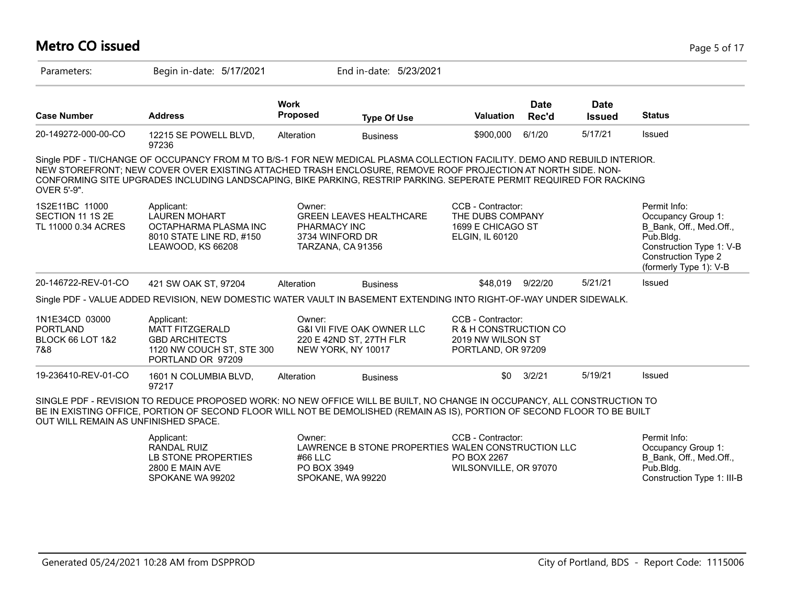#### **Metro CO issued** Page 5 of 17

| Parameters:                                                             | Begin in-date: 5/17/2021                                                                                                                                                                                                                                                                                                                                          |                                                                | End in-date: 5/23/2021                                           |                                                                                       |                      |                              |                                                                                                                                                                |
|-------------------------------------------------------------------------|-------------------------------------------------------------------------------------------------------------------------------------------------------------------------------------------------------------------------------------------------------------------------------------------------------------------------------------------------------------------|----------------------------------------------------------------|------------------------------------------------------------------|---------------------------------------------------------------------------------------|----------------------|------------------------------|----------------------------------------------------------------------------------------------------------------------------------------------------------------|
| <b>Case Number</b>                                                      | <b>Address</b>                                                                                                                                                                                                                                                                                                                                                    | <b>Work</b><br>Proposed                                        | <b>Type Of Use</b>                                               | <b>Valuation</b>                                                                      | <b>Date</b><br>Rec'd | <b>Date</b><br><b>Issued</b> | <b>Status</b>                                                                                                                                                  |
| 20-149272-000-00-CO                                                     | 12215 SE POWELL BLVD,<br>97236                                                                                                                                                                                                                                                                                                                                    | Alteration                                                     | <b>Business</b>                                                  | \$900,000                                                                             | 6/1/20               | 5/17/21                      | Issued                                                                                                                                                         |
| OVER 5'-9".                                                             | Single PDF - TI/CHANGE OF OCCUPANCY FROM M TO B/S-1 FOR NEW MEDICAL PLASMA COLLECTION FACILITY. DEMO AND REBUILD INTERIOR.<br>NEW STOREFRONT; NEW COVER OVER EXISTING ATTACHED TRASH ENCLOSURE, REMOVE ROOF PROJECTION AT NORTH SIDE. NON-<br>CONFORMING SITE UPGRADES INCLUDING LANDSCAPING, BIKE PARKING, RESTRIP PARKING. SEPERATE PERMIT REQUIRED FOR RACKING |                                                                |                                                                  |                                                                                       |                      |                              |                                                                                                                                                                |
| 1S2E11BC 11000<br>SECTION 11 1S 2E<br>TL 11000 0.34 ACRES               | Applicant:<br><b>LAUREN MOHART</b><br>OCTAPHARMA PLASMA INC<br>8010 STATE LINE RD, #150<br>LEAWOOD, KS 66208                                                                                                                                                                                                                                                      | Owner:<br>PHARMACY INC<br>3734 WINFORD DR<br>TARZANA, CA 91356 | <b>GREEN LEAVES HEALTHCARE</b>                                   | CCB - Contractor:<br>THE DUBS COMPANY<br>1699 E CHICAGO ST<br>ELGIN, IL 60120         |                      |                              | Permit Info:<br>Occupancy Group 1:<br>B Bank, Off., Med.Off.,<br>Pub.Bldg.<br>Construction Type 1: V-B<br><b>Construction Type 2</b><br>(formerly Type 1): V-B |
| 20-146722-REV-01-CO                                                     | 421 SW OAK ST, 97204                                                                                                                                                                                                                                                                                                                                              | Alteration                                                     | <b>Business</b>                                                  | \$48.019                                                                              | 9/22/20              | 5/21/21                      | Issued                                                                                                                                                         |
|                                                                         | Single PDF - VALUE ADDED REVISION, NEW DOMESTIC WATER VAULT IN BASEMENT EXTENDING INTO RIGHT-OF-WAY UNDER SIDEWALK.                                                                                                                                                                                                                                               |                                                                |                                                                  |                                                                                       |                      |                              |                                                                                                                                                                |
| 1N1E34CD 03000<br><b>PORTLAND</b><br><b>BLOCK 66 LOT 1&amp;2</b><br>7&8 | Applicant:<br><b>MATT FITZGERALD</b><br><b>GBD ARCHITECTS</b><br>1120 NW COUCH ST, STE 300<br>PORTLAND OR 97209                                                                                                                                                                                                                                                   | Owner:<br>NEW YORK, NY 10017                                   | <b>G&amp;I VII FIVE OAK OWNER LLC</b><br>220 E 42ND ST, 27TH FLR | CCB - Contractor:<br>R & H CONSTRUCTION CO<br>2019 NW WILSON ST<br>PORTLAND, OR 97209 |                      |                              |                                                                                                                                                                |
| 19-236410-REV-01-CO                                                     | 1601 N COLUMBIA BLVD,<br>97217                                                                                                                                                                                                                                                                                                                                    | Alteration                                                     | <b>Business</b>                                                  | \$0                                                                                   | 3/2/21               | 5/19/21                      | Issued                                                                                                                                                         |
| OUT WILL REMAIN AS UNFINISHED SPACE.                                    | SINGLE PDF - REVISION TO REDUCE PROPOSED WORK: NO NEW OFFICE WILL BE BUILT, NO CHANGE IN OCCUPANCY, ALL CONSTRUCTION TO<br>BE IN EXISTING OFFICE, PORTION OF SECOND FLOOR WILL NOT BE DEMOLISHED (REMAIN AS IS), PORTION OF SECOND FLOOR TO BE BUILT                                                                                                              |                                                                |                                                                  |                                                                                       |                      |                              |                                                                                                                                                                |
|                                                                         | Applicant:<br><b>RANDAL RUIZ</b><br>LB STONE PROPERTIES<br>2800 E MAIN AVE<br>SPOKANE WA 99202                                                                                                                                                                                                                                                                    | Owner:<br>#66 LLC<br>PO BOX 3949<br>SPOKANE, WA 99220          | LAWRENCE B STONE PROPERTIES WALEN CONSTRUCTION LLC               | CCB - Contractor:<br>PO BOX 2267<br>WILSONVILLE, OR 97070                             |                      |                              | Permit Info:<br>Occupancy Group 1:<br>B_Bank, Off., Med.Off.,<br>Pub.Bldg.<br>Construction Type 1: III-B                                                       |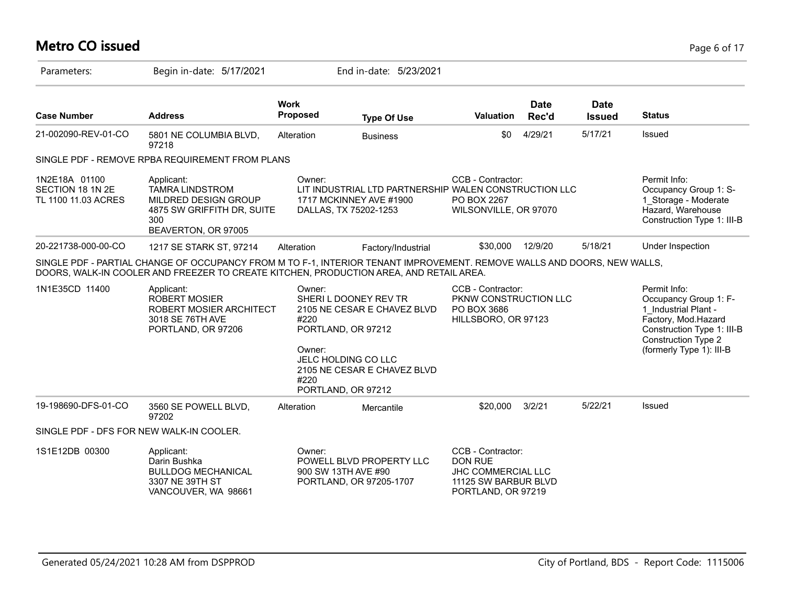#### **Metro CO issued** Page 6 of 17

| Parameters:                                              | Begin in-date: 5/17/2021                                                                                                                                                                                          |                                  | End in-date: 5/23/2021                                                                                                                                 |                                                                                                         |                      |                              |                                                                                                                                                                              |
|----------------------------------------------------------|-------------------------------------------------------------------------------------------------------------------------------------------------------------------------------------------------------------------|----------------------------------|--------------------------------------------------------------------------------------------------------------------------------------------------------|---------------------------------------------------------------------------------------------------------|----------------------|------------------------------|------------------------------------------------------------------------------------------------------------------------------------------------------------------------------|
| <b>Case Number</b>                                       | <b>Address</b>                                                                                                                                                                                                    | <b>Work</b><br>Proposed          | <b>Type Of Use</b>                                                                                                                                     | <b>Valuation</b>                                                                                        | <b>Date</b><br>Rec'd | <b>Date</b><br><b>Issued</b> | <b>Status</b>                                                                                                                                                                |
| 21-002090-REV-01-CO                                      | 5801 NE COLUMBIA BLVD,<br>97218                                                                                                                                                                                   | Alteration                       | <b>Business</b>                                                                                                                                        | \$0                                                                                                     | 4/29/21              | 5/17/21                      | Issued                                                                                                                                                                       |
|                                                          | SINGLE PDF - REMOVE RPBA REQUIREMENT FROM PLANS                                                                                                                                                                   |                                  |                                                                                                                                                        |                                                                                                         |                      |                              |                                                                                                                                                                              |
| 1N2E18A 01100<br>SECTION 18 1N 2E<br>TL 1100 11.03 ACRES | Applicant:<br><b>TAMRA LINDSTROM</b><br>MILDRED DESIGN GROUP<br>4875 SW GRIFFITH DR, SUITE<br>300<br>BEAVERTON, OR 97005                                                                                          | Owner:                           | LIT INDUSTRIAL LTD PARTNERSHIP WALEN CONSTRUCTION LLC<br>1717 MCKINNEY AVE #1900<br>DALLAS, TX 75202-1253                                              | CCB - Contractor:<br>PO BOX 2267<br>WILSONVILLE, OR 97070                                               |                      |                              | Permit Info:<br>Occupancy Group 1: S-<br>1 Storage - Moderate<br>Hazard, Warehouse<br>Construction Type 1: III-B                                                             |
| 20-221738-000-00-CO                                      | 1217 SE STARK ST, 97214                                                                                                                                                                                           | Alteration                       | Factory/Industrial                                                                                                                                     | \$30,000                                                                                                | 12/9/20              | 5/18/21                      | Under Inspection                                                                                                                                                             |
|                                                          | SINGLE PDF - PARTIAL CHANGE OF OCCUPANCY FROM M TO F-1, INTERIOR TENANT IMPROVEMENT. REMOVE WALLS AND DOORS, NEW WALLS,<br>DOORS, WALK-IN COOLER AND FREEZER TO CREATE KITCHEN, PRODUCTION AREA, AND RETAIL AREA. |                                  |                                                                                                                                                        |                                                                                                         |                      |                              |                                                                                                                                                                              |
| 1N1E35CD 11400                                           | Applicant:<br><b>ROBERT MOSIER</b><br>ROBERT MOSIER ARCHITECT<br>3018 SE 76TH AVE<br>PORTLAND, OR 97206                                                                                                           | Owner:<br>#220<br>Owner:<br>#220 | SHERI L DOONEY REV TR<br>2105 NE CESAR E CHAVEZ BLVD<br>PORTLAND, OR 97212<br>JELC HOLDING CO LLC<br>2105 NE CESAR E CHAVEZ BLVD<br>PORTLAND, OR 97212 | CCB - Contractor:<br>PKNW CONSTRUCTION LLC<br>PO BOX 3686<br>HILLSBORO, OR 97123                        |                      |                              | Permit Info:<br>Occupancy Group 1: F-<br>1 Industrial Plant -<br>Factory, Mod.Hazard<br>Construction Type 1: III-B<br><b>Construction Type 2</b><br>(formerly Type 1): III-B |
| 19-198690-DFS-01-CO                                      | 3560 SE POWELL BLVD,<br>97202                                                                                                                                                                                     | Alteration                       | Mercantile                                                                                                                                             | \$20,000                                                                                                | 3/2/21               | 5/22/21                      | <b>Issued</b>                                                                                                                                                                |
|                                                          | SINGLE PDF - DFS FOR NEW WALK-IN COOLER.                                                                                                                                                                          |                                  |                                                                                                                                                        |                                                                                                         |                      |                              |                                                                                                                                                                              |
| 1S1E12DB 00300                                           | Applicant:<br>Darin Bushka<br><b>BULLDOG MECHANICAL</b><br>3307 NE 39TH ST<br>VANCOUVER, WA 98661                                                                                                                 | Owner:                           | POWELL BLVD PROPERTY LLC<br>900 SW 13TH AVE #90<br>PORTLAND, OR 97205-1707                                                                             | CCB - Contractor:<br><b>DON RUE</b><br>JHC COMMERCIAL LLC<br>11125 SW BARBUR BLVD<br>PORTLAND, OR 97219 |                      |                              |                                                                                                                                                                              |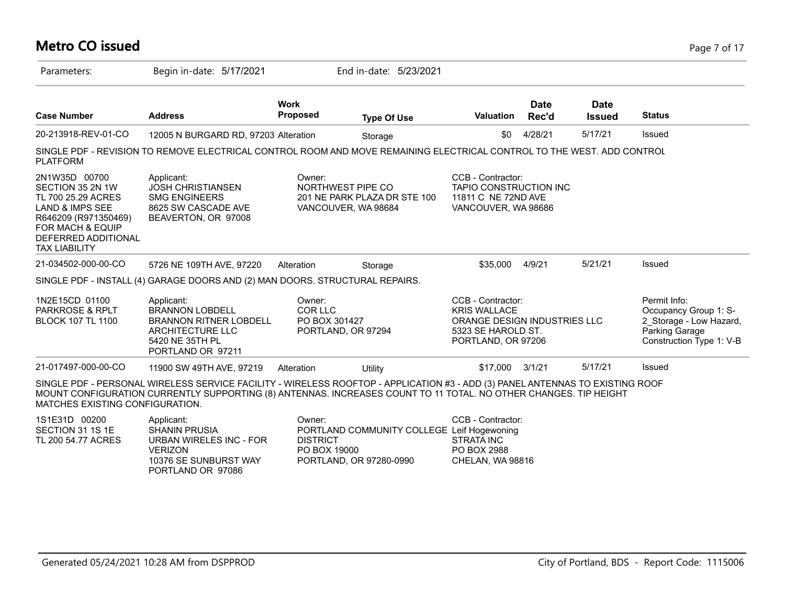#### **Metro CO issued** Page 7 of 17 Parameters: Begin in-date: 5/17/2021 End in-date: 5/23/2021 **Work Case Number Address Proposed Type Of Use Valuation Status Date Rec'd Date Issued** 20-213918-REV-01-CO 12005 N BURGARD RD, 97203 Alteration Storage 50 \$0 4/28/21 5/17/21 Issued SINGLE PDF - REVISION TO REMOVE ELECTRICAL CONTROL ROOM AND MOVE REMAINING ELECTRICAL CONTROL TO THE WEST. ADD CONTROL PLATFORM 2N1W35D 00700 SECTION 35 2N 1W TL 700 25.29 ACRES LAND & IMPS SEE R646209 (R971350469) FOR MACH & EQUIP DEFERRED ADDITIONAL TAX LIABILITY CCB - Contractor: TAPIO CONSTRUCTION INC 11811 C NE 72ND AVE VANCOUVER, WA 98686 Owner: NORTHWEST PIPE CO 201 NE PARK PLAZA DR STE 100 VANCOUVER, WA 98684 Applicant: JOSH CHRISTIANSEN SMG ENGINEERS 8625 SW CASCADE AVE BEAVERTON, OR 97008 21-034502-000-00-CO 5726 NE 109TH AVE, 97220 Alteration Storage \$35,000 4/9/21 5/21/21 Issued SINGLE PDF - INSTALL (4) GARAGE DOORS AND (2) MAN DOORS. STRUCTURAL REPAIRS. 1N2E15CD 01100 PARKROSE & RPLT BLOCK 107 TL 1100 Permit Info: Occupancy Group 1: S-2\_Storage - Low Hazard, Parking Garage Construction Type 1: V-B CCB - Contractor: KRIS WALLACE ORANGE DESIGN INDUSTRIES LLC 5323 SE HAROLD ST. PORTLAND, OR 97206 Owner: COR LLC PO BOX 301427 PORTLAND, OR 97294 Applicant: BRANNON LOBDELL BRANNON RITNER LOBDELL ARCHITECTURE LLC 5420 NE 35TH PL PORTLAND OR 97211 21-017497-000-00-CO 11900 SW 49TH AVE, 97219 Alteration Utility \$17,000 3/1/21 5/17/21 Issued SINGLE PDF - PERSONAL WIRELESS SERVICE FACILITY - WIRELESS ROOFTOP - APPLICATION #3 - ADD (3) PANEL ANTENNAS TO EXISTING ROOF MOUNT CONFIGURATION CURRENTLY SUPPORTING (8) ANTENNAS. INCREASES COUNT TO 11 TOTAL. NO OTHER CHANGES. TIP HEIGHT MATCHES EXISTING CONFIGURATION. 1S1E31D 00200 CCB - Contractor: Leif Hogewoning Owner: PORTLAND COMMUNITY COLLEGE  $A = \mathbf{R}$ SHANIN PRUSIA

| 1S1E31D 00200      | Applicant:              | Owner:                                     | CCB - Contractor: |
|--------------------|-------------------------|--------------------------------------------|-------------------|
| SECTION 31 1S 1E   | <b>SHANIN PRUSIA</b>    | PORTLAND COMMUNITY COLLEGE Leif Hogewoning |                   |
| TL 200 54.77 ACRES | URBAN WIRELES INC - FOR | <b>DISTRICT</b>                            | STRATA INC        |
|                    | VFRIZON.                | PO BOX 19000                               | PO BOX 2988       |
|                    | 10376 SE SUNBURST WAY   | PORTLAND, OR 97280-0990                    | CHELAN. WA 98816  |
|                    | PORTLAND OR 97086       |                                            |                   |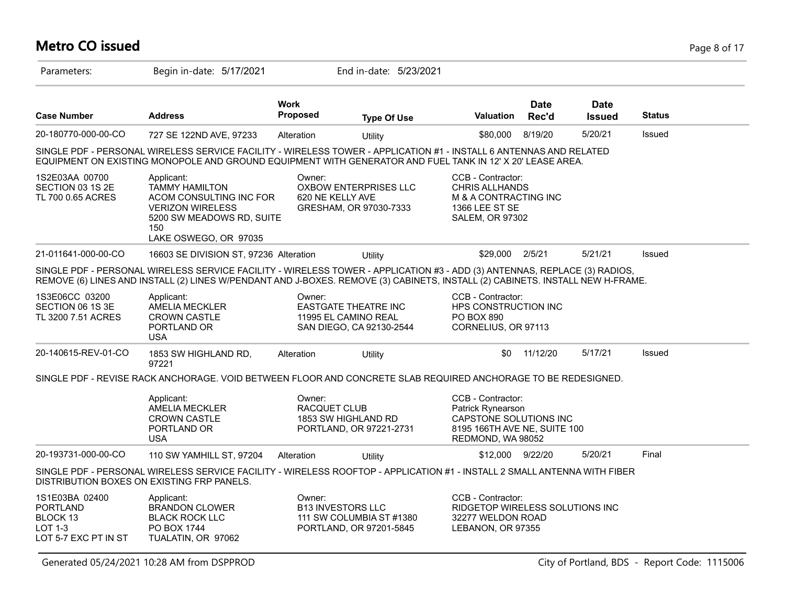# **Metro CO issued** Page 8 of 17

| Parameters:                                                                             | Begin in-date: 5/17/2021                                                                                                                                                                                                                                   |                         | End in-date: 5/23/2021                                                          |                                                                                                                       |                      |                              |               |
|-----------------------------------------------------------------------------------------|------------------------------------------------------------------------------------------------------------------------------------------------------------------------------------------------------------------------------------------------------------|-------------------------|---------------------------------------------------------------------------------|-----------------------------------------------------------------------------------------------------------------------|----------------------|------------------------------|---------------|
| <b>Case Number</b>                                                                      | <b>Address</b>                                                                                                                                                                                                                                             | <b>Work</b><br>Proposed | <b>Type Of Use</b>                                                              | <b>Valuation</b>                                                                                                      | <b>Date</b><br>Rec'd | <b>Date</b><br><b>Issued</b> | <b>Status</b> |
| 20-180770-000-00-CO                                                                     | 727 SE 122ND AVE, 97233                                                                                                                                                                                                                                    | Alteration              | Utility                                                                         | \$80,000                                                                                                              | 8/19/20              | 5/20/21                      | Issued        |
|                                                                                         | SINGLE PDF - PERSONAL WIRELESS SERVICE FACILITY - WIRELESS TOWER - APPLICATION #1 - INSTALL 6 ANTENNAS AND RELATED<br>EQUIPMENT ON EXISTING MONOPOLE AND GROUND EQUIPMENT WITH GENERATOR AND FUEL TANK IN 12' X 20' LEASE AREA.                            |                         |                                                                                 |                                                                                                                       |                      |                              |               |
| 1S2E03AA 00700<br>SECTION 03 1S 2E<br>TL 700 0.65 ACRES                                 | Applicant:<br><b>TAMMY HAMILTON</b><br>ACOM CONSULTING INC FOR<br><b>VERIZON WIRELESS</b><br>5200 SW MEADOWS RD, SUITE<br>150<br>LAKE OSWEGO, OR 97035                                                                                                     | Owner:                  | <b>OXBOW ENTERPRISES LLC</b><br>620 NE KELLY AVE<br>GRESHAM, OR 97030-7333      | CCB - Contractor:<br><b>CHRIS ALLHANDS</b><br>M & A CONTRACTING INC<br>1366 LEE ST SE<br><b>SALEM, OR 97302</b>       |                      |                              |               |
| 21-011641-000-00-CO                                                                     | 16603 SE DIVISION ST, 97236 Alteration                                                                                                                                                                                                                     |                         | Utility                                                                         | \$29,000                                                                                                              | 2/5/21               | 5/21/21                      | Issued        |
|                                                                                         | SINGLE PDF - PERSONAL WIRELESS SERVICE FACILITY - WIRELESS TOWER - APPLICATION #3 - ADD (3) ANTENNAS, REPLACE (3) RADIOS,<br>REMOVE (6) LINES AND INSTALL (2) LINES W/PENDANT AND J-BOXES. REMOVE (3) CABINETS, INSTALL (2) CABINETS. INSTALL NEW H-FRAME. |                         |                                                                                 |                                                                                                                       |                      |                              |               |
| 1S3E06CC 03200<br>SECTION 06 1S 3E<br>TL 3200 7.51 ACRES                                | Applicant:<br>AMELIA MECKLER<br><b>CROWN CASTLE</b><br>PORTLAND OR<br><b>USA</b>                                                                                                                                                                           | Owner:                  | <b>EASTGATE THEATRE INC</b><br>11995 EL CAMINO REAL<br>SAN DIEGO, CA 92130-2544 | CCB - Contractor:<br>HPS CONSTRUCTION INC<br>PO BOX 890<br>CORNELIUS, OR 97113                                        |                      |                              |               |
| 20-140615-REV-01-CO                                                                     | 1853 SW HIGHLAND RD,<br>97221                                                                                                                                                                                                                              | Alteration              | Utility                                                                         | \$0                                                                                                                   | 11/12/20             | 5/17/21                      | Issued        |
|                                                                                         | SINGLE PDF - REVISE RACK ANCHORAGE. VOID BETWEEN FLOOR AND CONCRETE SLAB REQUIRED ANCHORAGE TO BE REDESIGNED.                                                                                                                                              |                         |                                                                                 |                                                                                                                       |                      |                              |               |
|                                                                                         | Applicant:<br><b>AMELIA MECKLER</b><br><b>CROWN CASTLE</b><br>PORTLAND OR<br><b>USA</b>                                                                                                                                                                    | Owner:<br>RACQUET CLUB  | 1853 SW HIGHLAND RD<br>PORTLAND, OR 97221-2731                                  | CCB - Contractor:<br>Patrick Rynearson<br>CAPSTONE SOLUTIONS INC<br>8195 166TH AVE NE, SUITE 100<br>REDMOND, WA 98052 |                      |                              |               |
| 20-193731-000-00-CO                                                                     | 110 SW YAMHILL ST, 97204                                                                                                                                                                                                                                   | Alteration              | <b>Utility</b>                                                                  | \$12,000 9/22/20                                                                                                      |                      | 5/20/21                      | Final         |
|                                                                                         | SINGLE PDF - PERSONAL WIRELESS SERVICE FACILITY - WIRELESS ROOFTOP - APPLICATION #1 - INSTALL 2 SMALL ANTENNA WITH FIBER<br>DISTRIBUTION BOXES ON EXISTING FRP PANELS.                                                                                     |                         |                                                                                 |                                                                                                                       |                      |                              |               |
| 1S1E03BA 02400<br><b>PORTLAND</b><br>BLOCK 13<br><b>LOT 1-3</b><br>LOT 5-7 EXC PT IN ST | Applicant:<br><b>BRANDON CLOWER</b><br><b>BLACK ROCK LLC</b><br>PO BOX 1744<br>TUALATIN, OR 97062                                                                                                                                                          | Owner:                  | <b>B13 INVESTORS LLC</b><br>111 SW COLUMBIA ST #1380<br>PORTLAND, OR 97201-5845 | CCB - Contractor:<br>RIDGETOP WIRELESS SOLUTIONS INC<br>32277 WELDON ROAD<br>LEBANON, OR 97355                        |                      |                              |               |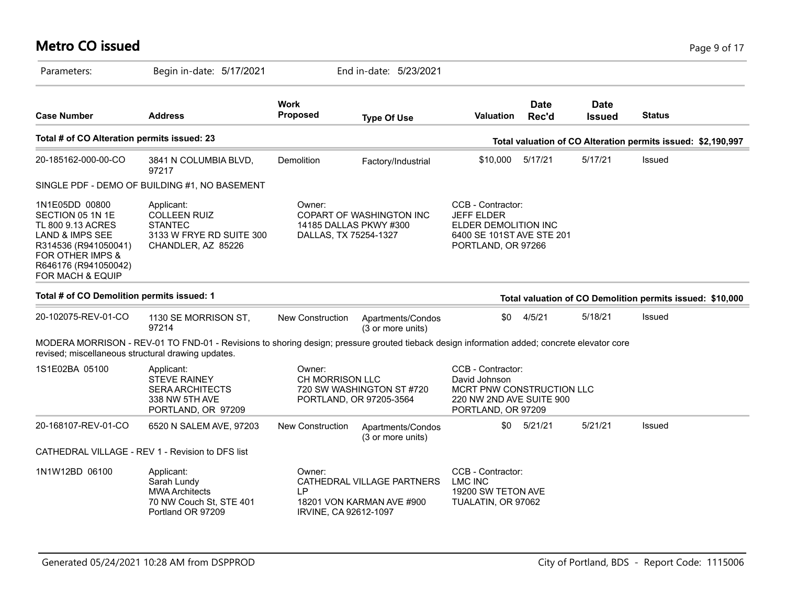# **Metro CO issued** Page 9 of 17

| Parameters:                                                                                                                                                                              | Begin in-date: 5/17/2021                                                                                                                    |                                        | End in-date: 5/23/2021                                  |                                                                                                                   |                      |                              |                                                              |
|------------------------------------------------------------------------------------------------------------------------------------------------------------------------------------------|---------------------------------------------------------------------------------------------------------------------------------------------|----------------------------------------|---------------------------------------------------------|-------------------------------------------------------------------------------------------------------------------|----------------------|------------------------------|--------------------------------------------------------------|
| <b>Case Number</b>                                                                                                                                                                       | <b>Address</b>                                                                                                                              | Work<br>Proposed                       | <b>Type Of Use</b>                                      | <b>Valuation</b>                                                                                                  | <b>Date</b><br>Rec'd | <b>Date</b><br><b>Issued</b> | <b>Status</b>                                                |
| Total # of CO Alteration permits issued: 23                                                                                                                                              |                                                                                                                                             |                                        |                                                         |                                                                                                                   |                      |                              | Total valuation of CO Alteration permits issued: \$2,190,997 |
| 20-185162-000-00-CO                                                                                                                                                                      | 3841 N COLUMBIA BLVD,<br>97217                                                                                                              | Demolition                             | Factory/Industrial                                      | \$10,000                                                                                                          | 5/17/21              | 5/17/21                      | Issued                                                       |
|                                                                                                                                                                                          | SINGLE PDF - DEMO OF BUILDING #1, NO BASEMENT                                                                                               |                                        |                                                         |                                                                                                                   |                      |                              |                                                              |
| 1N1E05DD 00800<br>SECTION 05 1N 1E<br>TL 800 9.13 ACRES<br><b>LAND &amp; IMPS SEE</b><br>R314536 (R941050041)<br>FOR OTHER IMPS &<br>R646176 (R941050042)<br><b>FOR MACH &amp; EQUIP</b> | Applicant:<br><b>COLLEEN RUIZ</b><br><b>STANTEC</b><br>3133 W FRYE RD SUITE 300<br>CHANDLER, AZ 85226                                       | Owner:<br>DALLAS, TX 75254-1327        | COPART OF WASHINGTON INC<br>14185 DALLAS PKWY #300      | CCB - Contractor:<br><b>JEFF ELDER</b><br>ELDER DEMOLITION INC<br>6400 SE 101ST AVE STE 201<br>PORTLAND, OR 97266 |                      |                              |                                                              |
| Total # of CO Demolition permits issued: 1                                                                                                                                               |                                                                                                                                             |                                        |                                                         |                                                                                                                   |                      |                              | Total valuation of CO Demolition permits issued: \$10,000    |
| 20-102075-REV-01-CO                                                                                                                                                                      | 1130 SE MORRISON ST,<br>97214                                                                                                               | New Construction                       | Apartments/Condos<br>(3 or more units)                  | \$0                                                                                                               | 4/5/21               | 5/18/21                      | Issued                                                       |
| revised; miscellaneous structural drawing updates.                                                                                                                                       | MODERA MORRISON - REV-01 TO FND-01 - Revisions to shoring design; pressure grouted tieback design information added; concrete elevator core |                                        |                                                         |                                                                                                                   |                      |                              |                                                              |
| 1S1E02BA 05100                                                                                                                                                                           | Applicant:<br><b>STEVE RAINEY</b><br><b>SERA ARCHITECTS</b><br>338 NW 5TH AVE<br>PORTLAND, OR 97209                                         | Owner:<br>CH MORRISON LLC              | 720 SW WASHINGTON ST #720<br>PORTLAND, OR 97205-3564    | CCB - Contractor:<br>David Johnson<br>MCRT PNW CONSTRUCTION LLC<br>220 NW 2ND AVE SUITE 900<br>PORTLAND, OR 97209 |                      |                              |                                                              |
| 20-168107-REV-01-CO                                                                                                                                                                      | 6520 N SALEM AVE, 97203                                                                                                                     | New Construction                       | Apartments/Condos<br>(3 or more units)                  | \$0                                                                                                               | 5/21/21              | 5/21/21                      | Issued                                                       |
|                                                                                                                                                                                          | CATHEDRAL VILLAGE - REV 1 - Revision to DFS list                                                                                            |                                        |                                                         |                                                                                                                   |                      |                              |                                                              |
| 1N1W12BD 06100                                                                                                                                                                           | Applicant:<br>Sarah Lundy<br><b>MWA Architects</b><br>70 NW Couch St, STE 401<br>Portland OR 97209                                          | Owner:<br>I P<br>IRVINE, CA 92612-1097 | CATHEDRAL VILLAGE PARTNERS<br>18201 VON KARMAN AVE #900 | CCB - Contractor:<br><b>LMC INC</b><br>19200 SW TETON AVE<br>TUALATIN, OR 97062                                   |                      |                              |                                                              |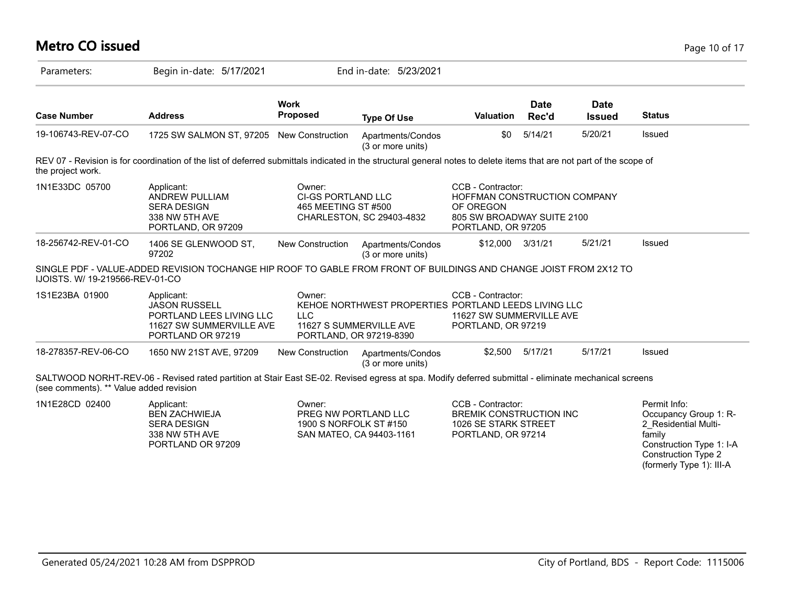| <b>Metro CO issued</b>                  |                                                                                                                                                                      |                                                          |                                                                                                            |                                                                                                                    |                      |                              |                        | Page 10 of 17                                                                                           |
|-----------------------------------------|----------------------------------------------------------------------------------------------------------------------------------------------------------------------|----------------------------------------------------------|------------------------------------------------------------------------------------------------------------|--------------------------------------------------------------------------------------------------------------------|----------------------|------------------------------|------------------------|---------------------------------------------------------------------------------------------------------|
| Parameters:                             | Begin in-date: 5/17/2021                                                                                                                                             |                                                          | End in-date: 5/23/2021                                                                                     |                                                                                                                    |                      |                              |                        |                                                                                                         |
| <b>Case Number</b>                      | <b>Address</b>                                                                                                                                                       | <b>Work</b><br><b>Proposed</b>                           | <b>Type Of Use</b>                                                                                         | <b>Valuation</b>                                                                                                   | <b>Date</b><br>Rec'd | <b>Date</b><br><b>Issued</b> | <b>Status</b>          |                                                                                                         |
| 19-106743-REV-07-CO                     | 1725 SW SALMON ST, 97205 New Construction                                                                                                                            |                                                          | Apartments/Condos<br>(3 or more units)                                                                     | \$0                                                                                                                | 5/14/21              | 5/20/21                      | Issued                 |                                                                                                         |
| the project work.                       | REV 07 - Revision is for coordination of the list of deferred submittals indicated in the structural general notes to delete items that are not part of the scope of |                                                          |                                                                                                            |                                                                                                                    |                      |                              |                        |                                                                                                         |
| 1N1E33DC 05700                          | Applicant:<br><b>ANDREW PULLIAM</b><br><b>SERA DESIGN</b><br>338 NW 5TH AVE<br>PORTLAND, OR 97209                                                                    | Owner:<br>CI-GS PORTLAND LLC<br>465 MEETING ST #500      | CHARLESTON, SC 29403-4832                                                                                  | CCB - Contractor:<br>HOFFMAN CONSTRUCTION COMPANY<br>OF OREGON<br>805 SW BROADWAY SUITE 2100<br>PORTLAND, OR 97205 |                      |                              |                        |                                                                                                         |
| 18-256742-REV-01-CO                     | 1406 SE GLENWOOD ST,<br>97202                                                                                                                                        | New Construction                                         | Apartments/Condos<br>(3 or more units)                                                                     | \$12,000 3/31/21                                                                                                   |                      | 5/21/21                      | Issued                 |                                                                                                         |
| IJOISTS. W/ 19-219566-REV-01-CO         | SINGLE PDF - VALUE-ADDED REVISION TOCHANGE HIP ROOF TO GABLE FROM FRONT OF BUILDINGS AND CHANGE JOIST FROM 2X12 TO                                                   |                                                          |                                                                                                            |                                                                                                                    |                      |                              |                        |                                                                                                         |
| 1S1E23BA 01900                          | Applicant:<br><b>JASON RUSSELL</b><br>PORTLAND LEES LIVING LLC<br>11627 SW SUMMERVILLE AVE<br>PORTLAND OR 97219                                                      | Owner:<br><b>LLC</b>                                     | KEHOE NORTHWEST PROPERTIES PORTLAND LEEDS LIVING LLC<br>11627 S SUMMERVILLE AVE<br>PORTLAND, OR 97219-8390 | CCB - Contractor:<br>11627 SW SUMMERVILLE AVE<br>PORTLAND, OR 97219                                                |                      |                              |                        |                                                                                                         |
| 18-278357-REV-06-CO                     | 1650 NW 21ST AVE, 97209                                                                                                                                              | <b>New Construction</b>                                  | Apartments/Condos<br>(3 or more units)                                                                     |                                                                                                                    | \$2,500 5/17/21      | 5/17/21                      | Issued                 |                                                                                                         |
| (see comments). ** Value added revision | SALTWOOD NORHT-REV-06 - Revised rated partition at Stair East SE-02. Revised egress at spa. Modify deferred submittal - eliminate mechanical screens                 |                                                          |                                                                                                            |                                                                                                                    |                      |                              |                        |                                                                                                         |
| 1N1E28CD 02400                          | Applicant:<br><b>BEN ZACHWIEJA</b><br><b>SERA DESIGN</b><br>338 NW 5TH AVE<br>PORTLAND OR 97209                                                                      | Owner:<br>PREG NW PORTLAND LLC<br>1900 S NORFOLK ST #150 | SAN MATEO, CA 94403-1161                                                                                   | CCB - Contractor:<br><b>BREMIK CONSTRUCTION INC</b><br>1026 SE STARK STREET<br>PORTLAND, OR 97214                  |                      |                              | Permit Info:<br>family | Occupancy Group 1: R-<br>2_Residential Multi-<br>Construction Type 1: I-A<br><b>Construction Type 2</b> |

(formerly Type 1): III-A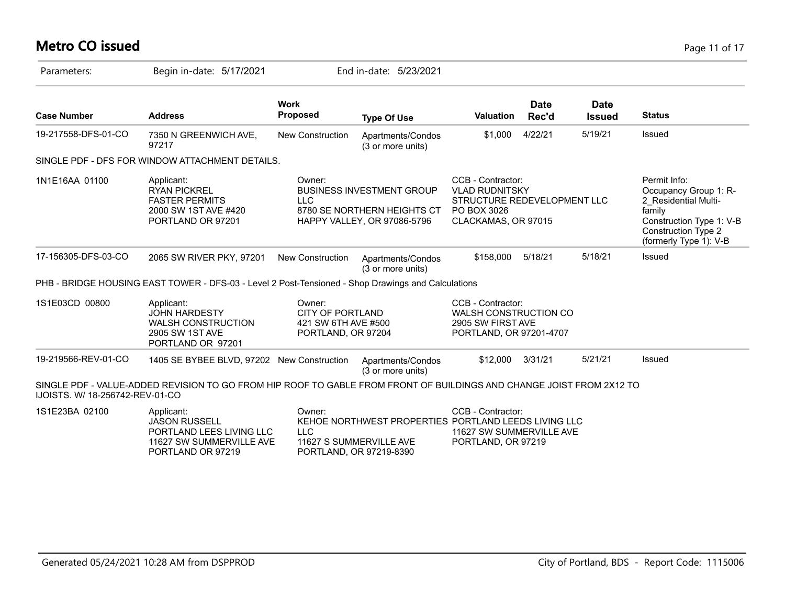# **Metro CO issued** Page 11 of 17

| Parameters:                     | Begin in-date: 5/17/2021                                                                                             |                                                                                | End in-date: 5/23/2021                                                                                     |                                                                                                                 |                      |                              |                                                                                                                                                             |
|---------------------------------|----------------------------------------------------------------------------------------------------------------------|--------------------------------------------------------------------------------|------------------------------------------------------------------------------------------------------------|-----------------------------------------------------------------------------------------------------------------|----------------------|------------------------------|-------------------------------------------------------------------------------------------------------------------------------------------------------------|
| <b>Case Number</b>              | <b>Address</b>                                                                                                       | <b>Work</b><br><b>Proposed</b>                                                 | <b>Type Of Use</b>                                                                                         | <b>Valuation</b>                                                                                                | <b>Date</b><br>Rec'd | <b>Date</b><br><b>Issued</b> | <b>Status</b>                                                                                                                                               |
| 19-217558-DFS-01-CO             | 7350 N GREENWICH AVE,<br>97217                                                                                       | <b>New Construction</b>                                                        | Apartments/Condos<br>(3 or more units)                                                                     | \$1,000                                                                                                         | 4/22/21              | 5/19/21                      | Issued                                                                                                                                                      |
|                                 | SINGLE PDF - DFS FOR WINDOW ATTACHMENT DETAILS.                                                                      |                                                                                |                                                                                                            |                                                                                                                 |                      |                              |                                                                                                                                                             |
| 1N1E16AA 01100                  | Applicant:<br><b>RYAN PICKREL</b><br><b>FASTER PERMITS</b><br>2000 SW 1ST AVE #420<br>PORTLAND OR 97201              | Owner:<br><b>LLC</b>                                                           | <b>BUSINESS INVESTMENT GROUP</b><br>8780 SE NORTHERN HEIGHTS CT<br>HAPPY VALLEY, OR 97086-5796             | CCB - Contractor:<br><b>VLAD RUDNITSKY</b><br>STRUCTURE REDEVELOPMENT LLC<br>PO BOX 3026<br>CLACKAMAS, OR 97015 |                      |                              | Permit Info:<br>Occupancy Group 1: R-<br>2 Residential Multi-<br>family<br>Construction Type 1: V-B<br><b>Construction Type 2</b><br>(formerly Type 1): V-B |
| 17-156305-DFS-03-CO             | 2065 SW RIVER PKY, 97201                                                                                             | <b>New Construction</b>                                                        | Apartments/Condos<br>(3 or more units)                                                                     | \$158,000                                                                                                       | 5/18/21              | 5/18/21                      | Issued                                                                                                                                                      |
|                                 | PHB - BRIDGE HOUSING EAST TOWER - DFS-03 - Level 2 Post-Tensioned - Shop Drawings and Calculations                   |                                                                                |                                                                                                            |                                                                                                                 |                      |                              |                                                                                                                                                             |
| 1S1E03CD 00800                  | Applicant:<br><b>JOHN HARDESTY</b><br><b>WALSH CONSTRUCTION</b><br>2905 SW 1ST AVE<br>PORTLAND OR 97201              | Owner:<br><b>CITY OF PORTLAND</b><br>421 SW 6TH AVE #500<br>PORTLAND, OR 97204 |                                                                                                            | CCB - Contractor:<br>WALSH CONSTRUCTION CO<br>2905 SW FIRST AVE<br>PORTLAND, OR 97201-4707                      |                      |                              |                                                                                                                                                             |
| 19-219566-REV-01-CO             | 1405 SE BYBEE BLVD, 97202 New Construction                                                                           |                                                                                | Apartments/Condos<br>(3 or more units)                                                                     | \$12,000                                                                                                        | 3/31/21              | 5/21/21                      | Issued                                                                                                                                                      |
| IJOISTS. W/ 18-256742-REV-01-CO | SINGLE PDF - VALUE-ADDED REVISION TO GO FROM HIP ROOF TO GABLE FROM FRONT OF BUILDINGS AND CHANGE JOIST FROM 2X12 TO |                                                                                |                                                                                                            |                                                                                                                 |                      |                              |                                                                                                                                                             |
| 1S1E23BA 02100                  | Applicant:<br><b>JASON RUSSELL</b><br>PORTLAND LEES LIVING LLC<br>11627 SW SUMMERVILLE AVE<br>PORTLAND OR 97219      | Owner:<br><b>LLC</b>                                                           | KEHOE NORTHWEST PROPERTIES PORTLAND LEEDS LIVING LLC<br>11627 S SUMMERVILLE AVE<br>PORTLAND, OR 97219-8390 | CCB - Contractor:<br>11627 SW SUMMERVILLE AVE<br>PORTLAND, OR 97219                                             |                      |                              |                                                                                                                                                             |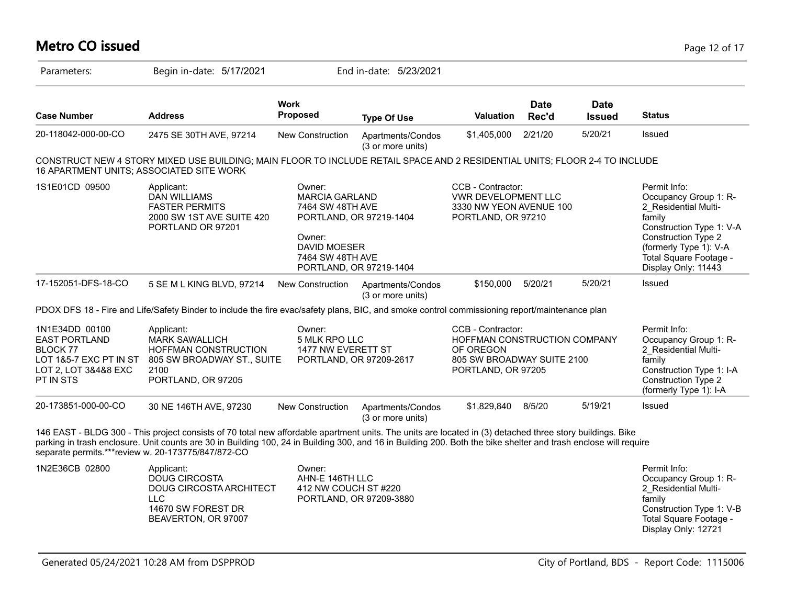# **Metro CO issued** Page 12 of 17

| Parameters:                                                                                                              | Begin in-date: 5/17/2021                                                                                                                                                                                                                                                                                                      |                                                                                                                              | End in-date: 5/23/2021                 |                                                                                                                    |                      |                              |                                                                                                                                                                                                              |
|--------------------------------------------------------------------------------------------------------------------------|-------------------------------------------------------------------------------------------------------------------------------------------------------------------------------------------------------------------------------------------------------------------------------------------------------------------------------|------------------------------------------------------------------------------------------------------------------------------|----------------------------------------|--------------------------------------------------------------------------------------------------------------------|----------------------|------------------------------|--------------------------------------------------------------------------------------------------------------------------------------------------------------------------------------------------------------|
| <b>Case Number</b>                                                                                                       | <b>Address</b>                                                                                                                                                                                                                                                                                                                | <b>Work</b><br><b>Proposed</b>                                                                                               | <b>Type Of Use</b>                     | <b>Valuation</b>                                                                                                   | <b>Date</b><br>Rec'd | <b>Date</b><br><b>Issued</b> | <b>Status</b>                                                                                                                                                                                                |
| 20-118042-000-00-CO                                                                                                      | 2475 SE 30TH AVE, 97214                                                                                                                                                                                                                                                                                                       | New Construction                                                                                                             | Apartments/Condos<br>(3 or more units) | \$1,405,000                                                                                                        | 2/21/20              | 5/20/21                      | Issued                                                                                                                                                                                                       |
| 16 APARTMENT UNITS; ASSOCIATED SITE WORK                                                                                 | CONSTRUCT NEW 4 STORY MIXED USE BUILDING; MAIN FLOOR TO INCLUDE RETAIL SPACE AND 2 RESIDENTIAL UNITS; FLOOR 2-4 TO INCLUDE                                                                                                                                                                                                    |                                                                                                                              |                                        |                                                                                                                    |                      |                              |                                                                                                                                                                                                              |
| 1S1E01CD 09500                                                                                                           | Applicant:<br><b>DAN WILLIAMS</b><br><b>FASTER PERMITS</b><br>2000 SW 1ST AVE SUITE 420<br>PORTLAND OR 97201                                                                                                                                                                                                                  | Owner:<br><b>MARCIA GARLAND</b><br>7464 SW 48TH AVE<br>Owner:<br>DAVID MOESER<br>7464 SW 48TH AVE<br>PORTLAND, OR 97219-1404 | PORTLAND, OR 97219-1404                | CCB - Contractor:<br><b>VWR DEVELOPMENT LLC</b><br>3330 NW YEON AVENUE 100<br>PORTLAND, OR 97210                   |                      |                              | Permit Info:<br>Occupancy Group 1: R-<br>2 Residential Multi-<br>family<br>Construction Type 1: V-A<br><b>Construction Type 2</b><br>(formerly Type 1): V-A<br>Total Square Footage -<br>Display Only: 11443 |
| 17-152051-DFS-18-CO                                                                                                      | 5 SE M L KING BLVD, 97214                                                                                                                                                                                                                                                                                                     | New Construction                                                                                                             | Apartments/Condos<br>(3 or more units) | \$150,000                                                                                                          | 5/20/21              | 5/20/21                      | Issued                                                                                                                                                                                                       |
|                                                                                                                          | PDOX DFS 18 - Fire and Life/Safety Binder to include the fire evac/safety plans, BIC, and smoke control commissioning report/maintenance plan                                                                                                                                                                                 |                                                                                                                              |                                        |                                                                                                                    |                      |                              |                                                                                                                                                                                                              |
| 1N1E34DD 00100<br><b>EAST PORTLAND</b><br>BLOCK 77<br>LOT 1&5-7 EXC PT IN ST<br>LOT 2, LOT 3&4&8 EXC<br><b>PT IN STS</b> | Applicant:<br><b>MARK SAWALLICH</b><br><b>HOFFMAN CONSTRUCTION</b><br>805 SW BROADWAY ST., SUITE<br>2100<br>PORTLAND, OR 97205                                                                                                                                                                                                | Owner:<br>5 MLK RPO LLC<br>1477 NW EVERETT ST<br>PORTLAND, OR 97209-2617                                                     |                                        | CCB - Contractor:<br>HOFFMAN CONSTRUCTION COMPANY<br>OF OREGON<br>805 SW BROADWAY SUITE 2100<br>PORTLAND, OR 97205 |                      |                              | Permit Info:<br>Occupancy Group 1: R-<br>2 Residential Multi-<br>family<br>Construction Type 1: I-A<br><b>Construction Type 2</b><br>(formerly Type 1): I-A                                                  |
| 20-173851-000-00-CO                                                                                                      | 30 NE 146TH AVE, 97230                                                                                                                                                                                                                                                                                                        | New Construction                                                                                                             | Apartments/Condos<br>(3 or more units) | \$1,829,840                                                                                                        | 8/5/20               | 5/19/21                      | Issued                                                                                                                                                                                                       |
| separate permits.***review w. 20-173775/847/872-CO                                                                       | 146 EAST - BLDG 300 - This project consists of 70 total new affordable apartment units. The units are located in (3) detached three story buildings. Bike<br>parking in trash enclosure. Unit counts are 30 in Building 100, 24 in Building 300, and 16 in Building 200. Both the bike shelter and trash enclose will require |                                                                                                                              |                                        |                                                                                                                    |                      |                              |                                                                                                                                                                                                              |
| 1N2E36CB 02800                                                                                                           | Applicant:<br><b>DOUG CIRCOSTA</b><br>DOUG CIRCOSTA ARCHITECT<br><b>LLC</b><br>14670 SW FOREST DR<br>BEAVERTON, OR 97007                                                                                                                                                                                                      | Owner:<br>AHN-E 146TH LLC<br>412 NW COUCH ST #220                                                                            | PORTLAND, OR 97209-3880                |                                                                                                                    |                      |                              | Permit Info:<br>Occupancy Group 1: R-<br>2 Residential Multi-<br>family<br>Construction Type 1: V-B<br>Total Square Footage -<br>Display Only: 12721                                                         |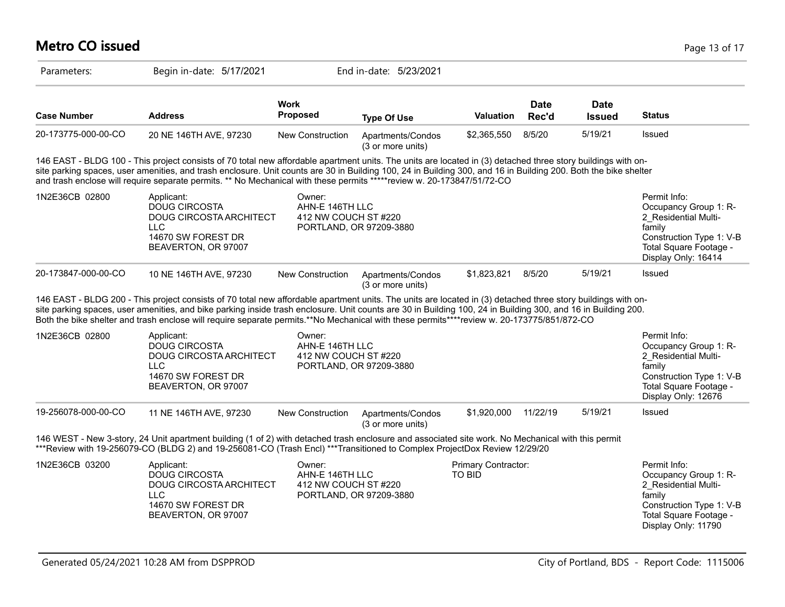| <b>Metro CO issued</b> |                                                                                                                                                                                                                                                                                                                                                                                                                                                                             |                                                   |                                        |                                      |                      |                              | Page 13 of 17                                                                                                                                        |
|------------------------|-----------------------------------------------------------------------------------------------------------------------------------------------------------------------------------------------------------------------------------------------------------------------------------------------------------------------------------------------------------------------------------------------------------------------------------------------------------------------------|---------------------------------------------------|----------------------------------------|--------------------------------------|----------------------|------------------------------|------------------------------------------------------------------------------------------------------------------------------------------------------|
| Parameters:            | Begin in-date: 5/17/2021                                                                                                                                                                                                                                                                                                                                                                                                                                                    |                                                   | End in-date: 5/23/2021                 |                                      |                      |                              |                                                                                                                                                      |
| <b>Case Number</b>     | <b>Address</b>                                                                                                                                                                                                                                                                                                                                                                                                                                                              | Work<br><b>Proposed</b>                           | <b>Type Of Use</b>                     | <b>Valuation</b>                     | <b>Date</b><br>Rec'd | <b>Date</b><br><b>Issued</b> | <b>Status</b>                                                                                                                                        |
| 20-173775-000-00-CO    | 20 NE 146TH AVE, 97230                                                                                                                                                                                                                                                                                                                                                                                                                                                      | New Construction                                  | Apartments/Condos<br>(3 or more units) | \$2,365,550                          | 8/5/20               | 5/19/21                      | Issued                                                                                                                                               |
|                        | 146 EAST - BLDG 100 - This project consists of 70 total new affordable apartment units. The units are located in (3) detached three story buildings with on-<br>site parking spaces, user amenities, and trash enclosure. Unit counts are 30 in Building 100, 24 in Building 300, and 16 in Building 200. Both the bike shelter<br>and trash enclose will require separate permits. ** No Mechanical with these permits *****review w. 20-173847/51/72-CO                   |                                                   |                                        |                                      |                      |                              |                                                                                                                                                      |
| 1N2E36CB 02800         | Applicant:<br><b>DOUG CIRCOSTA</b><br><b>DOUG CIRCOSTA ARCHITECT</b><br><b>LLC</b><br>14670 SW FOREST DR<br>BEAVERTON, OR 97007                                                                                                                                                                                                                                                                                                                                             | Owner:<br>AHN-E 146TH LLC<br>412 NW COUCH ST#220  | PORTLAND, OR 97209-3880                |                                      |                      |                              | Permit Info:<br>Occupancy Group 1: R-<br>2 Residential Multi-<br>family<br>Construction Type 1: V-B<br>Total Square Footage -<br>Display Only: 16414 |
| 20-173847-000-00-CO    | 10 NE 146TH AVE, 97230                                                                                                                                                                                                                                                                                                                                                                                                                                                      | New Construction                                  | Apartments/Condos<br>(3 or more units) | \$1,823,821                          | 8/5/20               | 5/19/21                      | <b>Issued</b>                                                                                                                                        |
|                        | 146 EAST - BLDG 200 - This project consists of 70 total new affordable apartment units. The units are located in (3) detached three story buildings with on-<br>site parking spaces, user amenities, and bike parking inside trash enclosure. Unit counts are 30 in Building 100, 24 in Building 300, and 16 in Building 200.<br>Both the bike shelter and trash enclose will require separate permits.**No Mechanical with these permits****review w. 20-173775/851/872-CO |                                                   |                                        |                                      |                      |                              |                                                                                                                                                      |
| 1N2E36CB 02800         | Applicant:<br><b>DOUG CIRCOSTA</b><br>DOUG CIRCOSTA ARCHITECT<br><b>LLC</b><br>14670 SW FOREST DR<br>BEAVERTON, OR 97007                                                                                                                                                                                                                                                                                                                                                    | Owner:<br>AHN-E 146TH LLC<br>412 NW COUCH ST #220 | PORTLAND, OR 97209-3880                |                                      |                      |                              | Permit Info:<br>Occupancy Group 1: R-<br>2_Residential Multi-<br>family<br>Construction Type 1: V-B<br>Total Square Footage -<br>Display Only: 12676 |
| 19-256078-000-00-CO    | 11 NE 146TH AVE, 97230                                                                                                                                                                                                                                                                                                                                                                                                                                                      | New Construction                                  | Apartments/Condos<br>(3 or more units) | \$1,920,000                          | 11/22/19             | 5/19/21                      | Issued                                                                                                                                               |
|                        | 146 WEST - New 3-story, 24 Unit apartment building (1 of 2) with detached trash enclosure and associated site work. No Mechanical with this permit<br>***Review with 19-256079-CO (BLDG 2) and 19-256081-CO (Trash Encl) ***Transitioned to Complex ProjectDox Review 12/29/20                                                                                                                                                                                              |                                                   |                                        |                                      |                      |                              |                                                                                                                                                      |
| 1N2E36CB 03200         | Applicant:<br><b>DOUG CIRCOSTA</b><br>DOUG CIRCOSTA ARCHITECT<br><b>LLC</b><br>14670 SW FOREST DR<br>BEAVERTON, OR 97007                                                                                                                                                                                                                                                                                                                                                    | Owner:<br>AHN-E 146TH LLC<br>412 NW COUCH ST#220  | PORTLAND, OR 97209-3880                | Primary Contractor:<br><b>TO BID</b> |                      |                              | Permit Info:<br>Occupancy Group 1: R-<br>2 Residential Multi-<br>family<br>Construction Type 1: V-B<br>Total Square Footage -<br>Display Only: 11790 |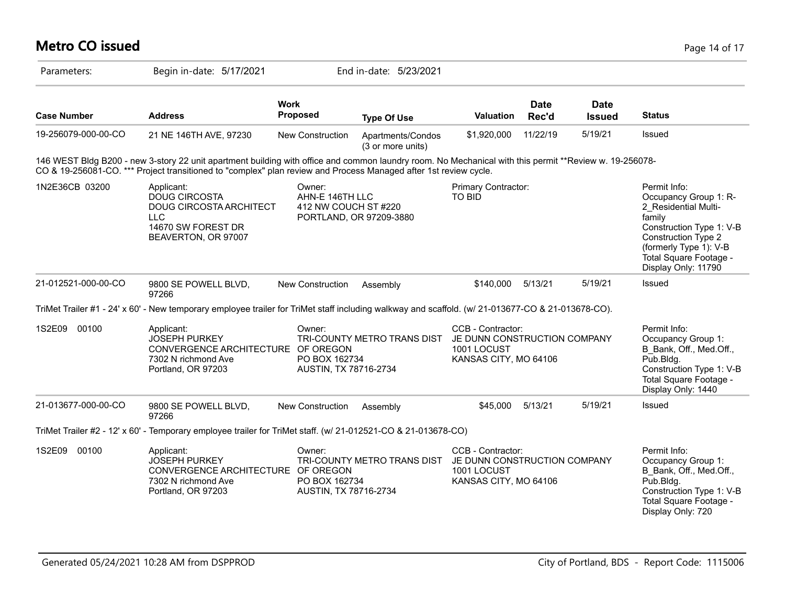#### **Metro CO issued** Page 14 of 17

| Parameters:         | Begin in-date: 5/17/2021                                                                                                                                                                                                                                                   | End in-date: 5/23/2021                                                      |                                        |                                                                                           |                      |                              |                                                                                                                                                                                                              |
|---------------------|----------------------------------------------------------------------------------------------------------------------------------------------------------------------------------------------------------------------------------------------------------------------------|-----------------------------------------------------------------------------|----------------------------------------|-------------------------------------------------------------------------------------------|----------------------|------------------------------|--------------------------------------------------------------------------------------------------------------------------------------------------------------------------------------------------------------|
| <b>Case Number</b>  | <b>Address</b>                                                                                                                                                                                                                                                             | <b>Work</b><br><b>Proposed</b>                                              | <b>Type Of Use</b>                     | <b>Valuation</b>                                                                          | <b>Date</b><br>Rec'd | <b>Date</b><br><b>Issued</b> | <b>Status</b>                                                                                                                                                                                                |
| 19-256079-000-00-CO | 21 NE 146TH AVE, 97230                                                                                                                                                                                                                                                     | New Construction                                                            | Apartments/Condos<br>(3 or more units) | \$1,920,000                                                                               | 11/22/19             | 5/19/21                      | Issued                                                                                                                                                                                                       |
|                     | 146 WEST Bldg B200 - new 3-story 22 unit apartment building with office and common laundry room. No Mechanical with this permit **Review w. 19-256078-<br>CO & 19-256081-CO. *** Project transitioned to "complex" plan review and Process Managed after 1st review cycle. |                                                                             |                                        |                                                                                           |                      |                              |                                                                                                                                                                                                              |
| 1N2E36CB 03200      | Applicant:<br><b>DOUG CIRCOSTA</b><br><b>DOUG CIRCOSTA ARCHITECT</b><br><b>LLC</b><br>14670 SW FOREST DR<br>BEAVERTON, OR 97007                                                                                                                                            | Owner:<br>AHN-E 146TH LLC<br>412 NW COUCH ST#220<br>PORTLAND, OR 97209-3880 |                                        | Primary Contractor:<br>TO BID                                                             |                      |                              | Permit Info:<br>Occupancy Group 1: R-<br>2 Residential Multi-<br>family<br>Construction Type 1: V-B<br><b>Construction Type 2</b><br>(formerly Type 1): V-B<br>Total Square Footage -<br>Display Only: 11790 |
| 21-012521-000-00-CO | 9800 SE POWELL BLVD,<br>97266                                                                                                                                                                                                                                              | <b>New Construction</b>                                                     | Assembly                               | \$140,000                                                                                 | 5/13/21              | 5/19/21                      | <b>Issued</b>                                                                                                                                                                                                |
|                     | TriMet Trailer #1 - 24' x 60' - New temporary employee trailer for TriMet staff including walkway and scaffold. (w/ 21-013677-CO & 21-013678-CO).                                                                                                                          |                                                                             |                                        |                                                                                           |                      |                              |                                                                                                                                                                                                              |
| 1S2E09<br>00100     | Applicant:<br><b>JOSEPH PURKEY</b><br>CONVERGENCE ARCHITECTURE OF OREGON<br>7302 N richmond Ave<br>Portland, OR 97203                                                                                                                                                      | Owner:<br>PO BOX 162734<br>AUSTIN, TX 78716-2734                            | TRI-COUNTY METRO TRANS DIST            | CCB - Contractor:<br>JE DUNN CONSTRUCTION COMPANY<br>1001 LOCUST<br>KANSAS CITY, MO 64106 |                      |                              | Permit Info:<br>Occupancy Group 1:<br>B Bank, Off., Med.Off.,<br>Pub.Bldg.<br>Construction Type 1: V-B<br>Total Square Footage -<br>Display Only: 1440                                                       |
| 21-013677-000-00-CO | 9800 SE POWELL BLVD,<br>97266                                                                                                                                                                                                                                              | New Construction                                                            | Assembly                               | \$45,000                                                                                  | 5/13/21              | 5/19/21                      | Issued                                                                                                                                                                                                       |
|                     | TriMet Trailer #2 - 12' x 60' - Temporary employee trailer for TriMet staff. (w/ 21-012521-CO & 21-013678-CO)                                                                                                                                                              |                                                                             |                                        |                                                                                           |                      |                              |                                                                                                                                                                                                              |
| 1S2E09<br>00100     | Applicant:<br><b>JOSEPH PURKEY</b><br>CONVERGENCE ARCHITECTURE OF OREGON<br>7302 N richmond Ave<br>Portland, OR 97203                                                                                                                                                      | Owner:<br>PO BOX 162734<br>AUSTIN, TX 78716-2734                            | TRI-COUNTY METRO TRANS DIST            | CCB - Contractor:<br>JE DUNN CONSTRUCTION COMPANY<br>1001 LOCUST<br>KANSAS CITY, MO 64106 |                      |                              | Permit Info:<br>Occupancy Group 1:<br>B Bank, Off., Med.Off.,<br>Pub.Bldg.<br>Construction Type 1: V-B<br>Total Square Footage -<br>Display Only: 720                                                        |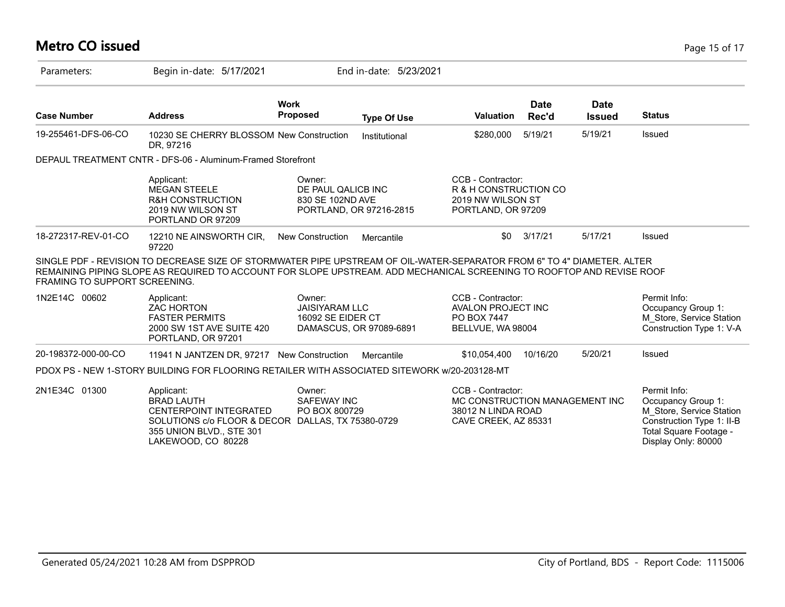# **Metro CO issued** Page 15 of 17

| Parameters:                          | Begin in-date: 5/17/2021                                                                                                                                                                                                                         |                                                                 | End in-date: 5/23/2021  |                                                                                                   |                      |                              |                                                                                                                                              |
|--------------------------------------|--------------------------------------------------------------------------------------------------------------------------------------------------------------------------------------------------------------------------------------------------|-----------------------------------------------------------------|-------------------------|---------------------------------------------------------------------------------------------------|----------------------|------------------------------|----------------------------------------------------------------------------------------------------------------------------------------------|
| <b>Case Number</b>                   | <b>Address</b>                                                                                                                                                                                                                                   | Work<br><b>Proposed</b>                                         | <b>Type Of Use</b>      | <b>Valuation</b>                                                                                  | <b>Date</b><br>Rec'd | <b>Date</b><br><b>Issued</b> | <b>Status</b>                                                                                                                                |
| 19-255461-DFS-06-CO                  | 10230 SE CHERRY BLOSSOM New Construction<br>DR, 97216                                                                                                                                                                                            |                                                                 | Institutional           | \$280,000                                                                                         | 5/19/21              | 5/19/21                      | Issued                                                                                                                                       |
|                                      | DEPAUL TREATMENT CNTR - DFS-06 - Aluminum-Framed Storefront                                                                                                                                                                                      |                                                                 |                         |                                                                                                   |                      |                              |                                                                                                                                              |
|                                      | Applicant:<br><b>MEGAN STEELE</b><br><b>R&amp;H CONSTRUCTION</b><br>2019 NW WILSON ST<br>PORTLAND OR 97209                                                                                                                                       | Owner:<br>DE PAUL QALICB INC<br>830 SE 102ND AVE                | PORTLAND, OR 97216-2815 | CCB - Contractor:<br>R & H CONSTRUCTION CO<br>2019 NW WILSON ST<br>PORTLAND, OR 97209             |                      |                              |                                                                                                                                              |
| 18-272317-REV-01-CO                  | 12210 NE AINSWORTH CIR,<br>97220                                                                                                                                                                                                                 | <b>New Construction</b>                                         | Mercantile              | \$0                                                                                               | 3/17/21              | 5/17/21                      | Issued                                                                                                                                       |
| <b>FRAMING TO SUPPORT SCREENING.</b> | SINGLE PDF - REVISION TO DECREASE SIZE OF STORMWATER PIPE UPSTREAM OF OIL-WATER-SEPARATOR FROM 6" TO 4" DIAMETER. ALTER<br>REMAINING PIPING SLOPE AS REQUIRED TO ACCOUNT FOR SLOPE UPSTREAM. ADD MECHANICAL SCREENING TO ROOFTOP AND REVISE ROOF |                                                                 |                         |                                                                                                   |                      |                              |                                                                                                                                              |
| 1N2E14C 00602                        | Applicant:<br><b>ZAC HORTON</b><br><b>FASTER PERMITS</b><br>2000 SW 1ST AVE SUITE 420<br>PORTLAND, OR 97201                                                                                                                                      | Owner:<br><b>JAISIYARAM LLC</b><br>16092 SE EIDER CT            | DAMASCUS, OR 97089-6891 | CCB - Contractor:<br><b>AVALON PROJECT INC</b><br>PO BOX 7447<br>BELLVUE, WA 98004                |                      |                              | Permit Info:<br>Occupancy Group 1:<br>M Store, Service Station<br>Construction Type 1: V-A                                                   |
| 20-198372-000-00-CO                  | 11941 N JANTZEN DR, 97217 New Construction                                                                                                                                                                                                       |                                                                 | Mercantile              | \$10,054,400                                                                                      | 10/16/20             | 5/20/21                      | Issued                                                                                                                                       |
|                                      | PDOX PS - NEW 1-STORY BUILDING FOR FLOORING RETAILER WITH ASSOCIATED SITEWORK w/20-203128-MT                                                                                                                                                     |                                                                 |                         |                                                                                                   |                      |                              |                                                                                                                                              |
| 2N1E34C 01300                        | Applicant:<br><b>BRAD LAUTH</b><br><b>CENTERPOINT INTEGRATED</b><br>SOLUTIONS c/o FLOOR & DECOR<br>355 UNION BLVD., STE 301<br>LAKEWOOD, CO 80228                                                                                                | Owner:<br>SAFEWAY INC<br>PO BOX 800729<br>DALLAS, TX 75380-0729 |                         | CCB - Contractor:<br>MC CONSTRUCTION MANAGEMENT INC<br>38012 N LINDA ROAD<br>CAVE CREEK, AZ 85331 |                      |                              | Permit Info:<br>Occupancy Group 1:<br>M_Store, Service Station<br>Construction Type 1: II-B<br>Total Square Footage -<br>Display Only: 80000 |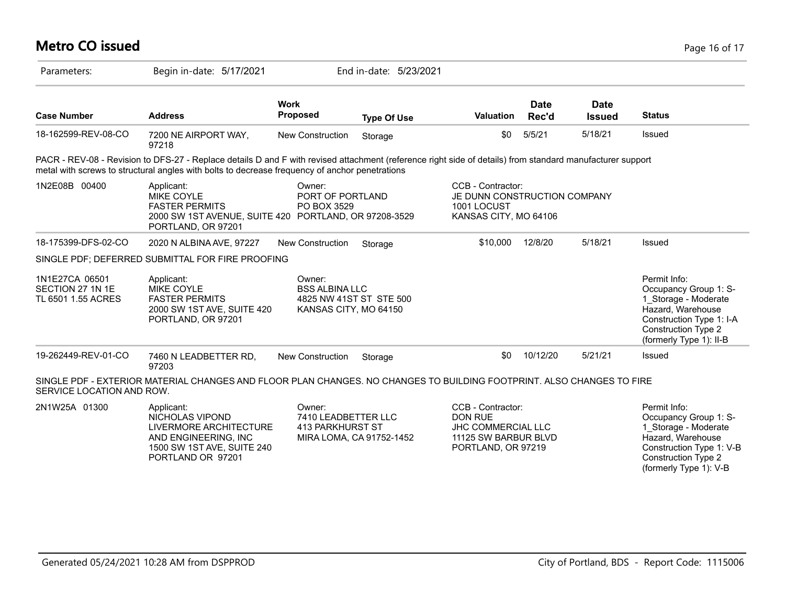| <b>Metro CO issued</b>                                   |                                                                                                                                                                                                                                                             |                                                          |                          |                                                                                                         |                      |                              | Page 16 of 17                                                                                                                                                           |
|----------------------------------------------------------|-------------------------------------------------------------------------------------------------------------------------------------------------------------------------------------------------------------------------------------------------------------|----------------------------------------------------------|--------------------------|---------------------------------------------------------------------------------------------------------|----------------------|------------------------------|-------------------------------------------------------------------------------------------------------------------------------------------------------------------------|
| Parameters:                                              | Begin in-date: 5/17/2021                                                                                                                                                                                                                                    |                                                          | End in-date: 5/23/2021   |                                                                                                         |                      |                              |                                                                                                                                                                         |
| <b>Case Number</b>                                       | <b>Address</b>                                                                                                                                                                                                                                              | <b>Work</b><br><b>Proposed</b>                           | <b>Type Of Use</b>       | Valuation                                                                                               | <b>Date</b><br>Rec'd | <b>Date</b><br><b>Issued</b> | <b>Status</b>                                                                                                                                                           |
| 18-162599-REV-08-CO                                      | 7200 NE AIRPORT WAY,<br>97218                                                                                                                                                                                                                               | New Construction                                         | Storage                  | \$0                                                                                                     | 5/5/21               | 5/18/21                      | Issued                                                                                                                                                                  |
|                                                          | PACR - REV-08 - Revision to DFS-27 - Replace details D and F with revised attachment (reference right side of details) from standard manufacturer support<br>metal with screws to structural angles with bolts to decrease frequency of anchor penetrations |                                                          |                          |                                                                                                         |                      |                              |                                                                                                                                                                         |
| 1N2E08B 00400                                            | Applicant:<br>MIKE COYLE<br><b>FASTER PERMITS</b><br>2000 SW 1ST AVENUE, SUITE 420 PORTLAND, OR 97208-3529<br>PORTLAND, OR 97201                                                                                                                            | Owner:<br>PORT OF PORTLAND<br>PO BOX 3529                |                          | CCB - Contractor:<br>JE DUNN CONSTRUCTION COMPANY<br>1001 LOCUST<br>KANSAS CITY, MO 64106               |                      |                              |                                                                                                                                                                         |
| 18-175399-DFS-02-CO                                      | 2020 N ALBINA AVE, 97227                                                                                                                                                                                                                                    | New Construction                                         | Storage                  | \$10,000                                                                                                | 12/8/20              | 5/18/21                      | Issued                                                                                                                                                                  |
|                                                          | SINGLE PDF; DEFERRED SUBMITTAL FOR FIRE PROOFING                                                                                                                                                                                                            |                                                          |                          |                                                                                                         |                      |                              |                                                                                                                                                                         |
| 1N1E27CA 06501<br>SECTION 27 1N 1E<br>TL 6501 1.55 ACRES | Applicant:<br>MIKE COYLE<br><b>FASTER PERMITS</b><br>2000 SW 1ST AVE, SUITE 420<br>PORTLAND, OR 97201                                                                                                                                                       | Owner:<br><b>BSS ALBINA LLC</b><br>KANSAS CITY, MO 64150 | 4825 NW 41ST ST STE 500  |                                                                                                         |                      |                              | Permit Info:<br>Occupancy Group 1: S-<br>1_Storage - Moderate<br>Hazard, Warehouse<br>Construction Type 1: I-A<br><b>Construction Type 2</b><br>(formerly Type 1): II-B |
| 19-262449-REV-01-CO                                      | 7460 N LEADBETTER RD,<br>97203                                                                                                                                                                                                                              | <b>New Construction</b>                                  | Storage                  | \$0                                                                                                     | 10/12/20             | 5/21/21                      | Issued                                                                                                                                                                  |
| SERVICE LOCATION AND ROW.                                | SINGLE PDF - EXTERIOR MATERIAL CHANGES AND FLOOR PLAN CHANGES. NO CHANGES TO BUILDING FOOTPRINT. ALSO CHANGES TO FIRE                                                                                                                                       |                                                          |                          |                                                                                                         |                      |                              |                                                                                                                                                                         |
| 2N1W25A 01300                                            | Applicant:<br>NICHOLAS VIPOND<br>LIVERMORE ARCHITECTURE<br>AND ENGINEERING, INC<br>1500 SW 1ST AVE, SUITE 240<br>PORTLAND OR 97201                                                                                                                          | Owner:<br>7410 LEADBETTER LLC<br>413 PARKHURST ST        | MIRA LOMA, CA 91752-1452 | CCB - Contractor:<br><b>DON RUE</b><br>JHC COMMERCIAL LLC<br>11125 SW BARBUR BLVD<br>PORTLAND, OR 97219 |                      |                              | Permit Info:<br>Occupancy Group 1: S-<br>1_Storage - Moderate<br>Hazard, Warehouse<br>Construction Type 1: V-B<br><b>Construction Type 2</b><br>(formerly Type 1): V-B  |